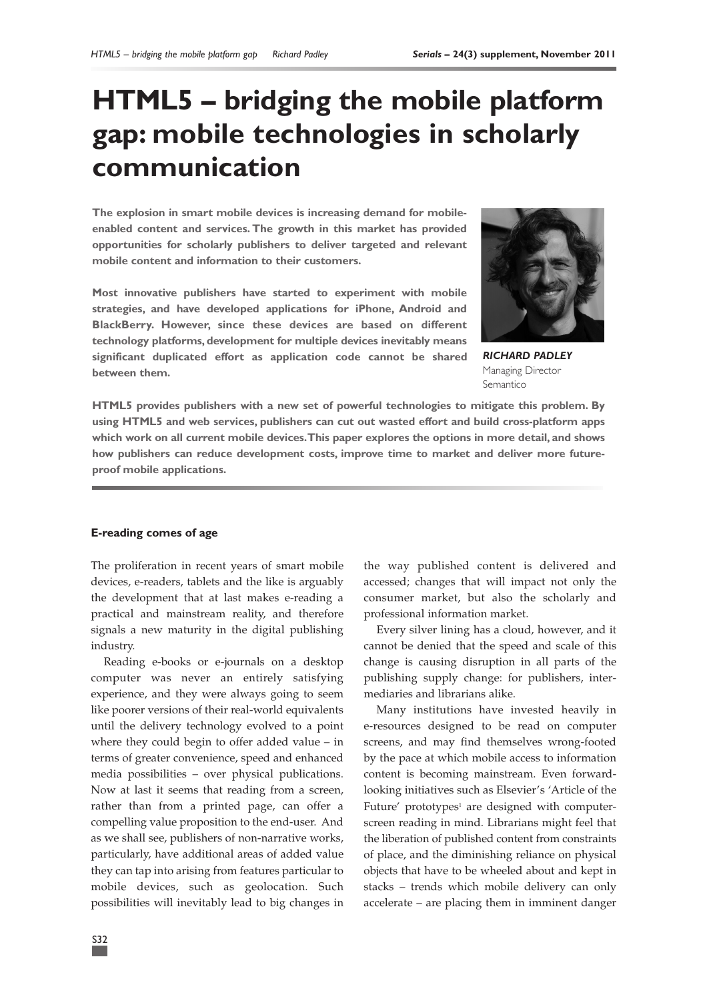# **HTML5 – bridging the mobile platform gap: mobile technologies in scholarly communication**

**The explosion in smart mobile devices is increasing demand for mobileenabled content and services. The growth in this market has provided opportunities for scholarly publishers to deliver targeted and relevant mobile content and information to their customers.**

**Most innovative publishers have started to experiment with mobile strategies, and have developed applications for iPhone, Android and BlackBerry. However, since these devices are based on different technology platforms, development for multiple devices inevitably means significant duplicated effort as application code cannot be shared between them.**



*RICHARD PADLEY* Managing Director Semantico

**HTML5 provides publishers with a new set of powerful technologies to mitigate this problem. By using HTML5 and web services, publishers can cut out wasted effort and build cross-platform apps which work on all current mobile devices.This paper explores the options in more detail, and shows how publishers can reduce development costs, improve time to market and deliver more futureproof mobile applications.**

#### **E-reading comes of age**

The proliferation in recent years of smart mobile devices, e-readers, tablets and the like is arguably the development that at last makes e-reading a practical and mainstream reality, and therefore signals a new maturity in the digital publishing industry.

Reading e-books or e-journals on a desktop computer was never an entirely satisfying experience, and they were always going to seem like poorer versions of their real-world equivalents until the delivery technology evolved to a point where they could begin to offer added value – in terms of greater convenience, speed and enhanced media possibilities – over physical publications. Now at last it seems that reading from a screen, rather than from a printed page, can offer a compelling value proposition to the end-user. And as we shall see, publishers of non-narrative works, particularly, have additional areas of added value they can tap into arising from features particular to mobile devices, such as geolocation. Such possibilities will inevitably lead to big changes in

the way published content is delivered and accessed; changes that will impact not only the consumer market, but also the scholarly and professional information market.

Every silver lining has a cloud, however, and it cannot be denied that the speed and scale of this change is causing disruption in all parts of the publishing supply change: for publishers, intermediaries and librarians alike.

Many institutions have invested heavily in e-resources designed to be read on computer screens, and may find themselves wrong-footed by the pace at which mobile access to information content is becoming mainstream. Even forwardlooking initiatives such as Elsevier's 'Article of the Future' prototypes<sup>1</sup> are designed with computerscreen reading in mind. Librarians might feel that the liberation of published content from constraints of place, and the diminishing reliance on physical objects that have to be wheeled about and kept in stacks – trends which mobile delivery can only accelerate – are placing them in imminent danger

S32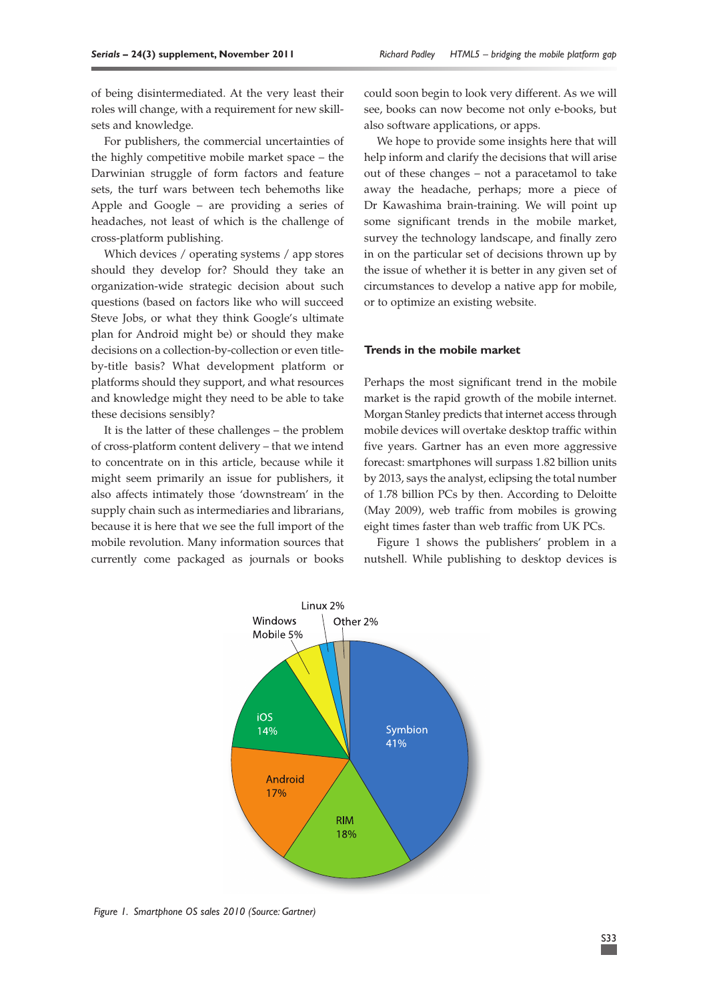of being disintermediated. At the very least their roles will change, with a requirement for new skillsets and knowledge.

For publishers, the commercial uncertainties of the highly competitive mobile market space – the Darwinian struggle of form factors and feature sets, the turf wars between tech behemoths like Apple and Google – are providing a series of headaches, not least of which is the challenge of cross-platform publishing.

Which devices / operating systems / app stores should they develop for? Should they take an organization-wide strategic decision about such questions (based on factors like who will succeed Steve Jobs, or what they think Google's ultimate plan for Android might be) or should they make decisions on a collection-by-collection or even titleby-title basis? What development platform or platforms should they support, and what resources and knowledge might they need to be able to take these decisions sensibly?

It is the latter of these challenges – the problem of cross-platform content delivery – that we intend to concentrate on in this article, because while it might seem primarily an issue for publishers, it also affects intimately those 'downstream' in the supply chain such as intermediaries and librarians, because it is here that we see the full import of the mobile revolution. Many information sources that currently come packaged as journals or books

could soon begin to look very different. As we will see, books can now become not only e-books, but also software applications, or apps.

We hope to provide some insights here that will help inform and clarify the decisions that will arise out of these changes – not a paracetamol to take away the headache, perhaps; more a piece of Dr Kawashima brain-training. We will point up some significant trends in the mobile market, survey the technology landscape, and finally zero in on the particular set of decisions thrown up by the issue of whether it is better in any given set of circumstances to develop a native app for mobile, or to optimize an existing website.

#### **Trends in the mobile market**

Perhaps the most significant trend in the mobile market is the rapid growth of the mobile internet. Morgan Stanley predicts that internet access through mobile devices will overtake desktop traffic within five years. Gartner has an even more aggressive forecast: smartphones will surpass 1.82 billion units by 2013, says the analyst, eclipsing the total number of 1.78 billion PCs by then. According to Deloitte (May 2009), web traffic from mobiles is growing eight times faster than web traffic from UK PCs.

Figure 1 shows the publishers' problem in a nutshell. While publishing to desktop devices is



*Figure 1. Smartphone OS sales 2010 (Source: Gartner)*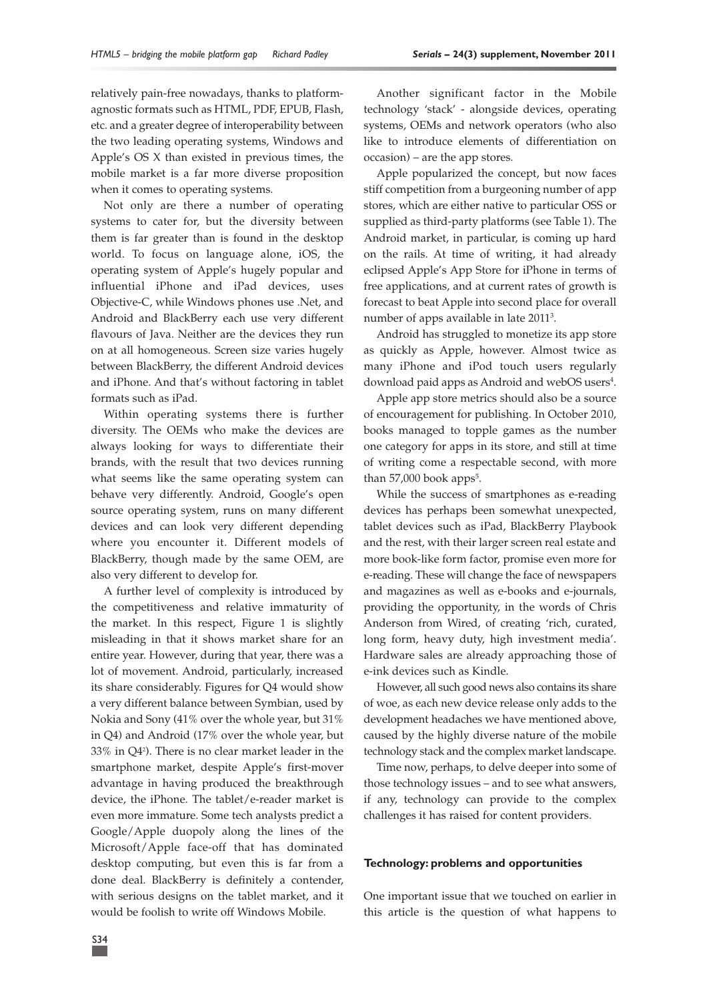relatively pain-free nowadays, thanks to platformagnostic formats such as HTML, PDF, EPUB, Flash, etc. and a greater degree of interoperability between the two leading operating systems, Windows and Apple's OS X than existed in previous times, the mobile market is a far more diverse proposition when it comes to operating systems.

Not only are there a number of operating systems to cater for, but the diversity between them is far greater than is found in the desktop world. To focus on language alone, iOS, the operating system of Apple's hugely popular and influential iPhone and iPad devices, uses Objective-C, while Windows phones use .Net, and Android and BlackBerry each use very different flavours of Java. Neither are the devices they run on at all homogeneous. Screen size varies hugely between BlackBerry, the different Android devices and iPhone. And that's without factoring in tablet formats such as iPad.

Within operating systems there is further diversity. The OEMs who make the devices are always looking for ways to differentiate their brands, with the result that two devices running what seems like the same operating system can behave very differently. Android, Google's open source operating system, runs on many different devices and can look very different depending where you encounter it. Different models of BlackBerry, though made by the same OEM, are also very different to develop for.

A further level of complexity is introduced by the competitiveness and relative immaturity of the market. In this respect, Figure 1 is slightly misleading in that it shows market share for an entire year. However, during that year, there was a lot of movement. Android, particularly, increased its share considerably. Figures for Q4 would show a very different balance between Symbian, used by Nokia and Sony (41% over the whole year, but 31% in Q4) and Android (17% over the whole year, but 33% in Q42 ). There is no clear market leader in the smartphone market, despite Apple's first-mover advantage in having produced the breakthrough device, the iPhone. The tablet/e-reader market is even more immature. Some tech analysts predict a Google/Apple duopoly along the lines of the Microsoft/Apple face-off that has dominated desktop computing, but even this is far from a done deal. BlackBerry is definitely a contender, with serious designs on the tablet market, and it would be foolish to write off Windows Mobile.

Another significant factor in the Mobile technology 'stack' - alongside devices, operating systems, OEMs and network operators (who also like to introduce elements of differentiation on occasion) – are the app stores.

Apple popularized the concept, but now faces stiff competition from a burgeoning number of app stores, which are either native to particular OSS or supplied as third-party platforms (see Table 1). The Android market, in particular, is coming up hard on the rails. At time of writing, it had already eclipsed Apple's App Store for iPhone in terms of free applications, and at current rates of growth is forecast to beat Apple into second place for overall number of apps available in late 2011<sup>3</sup>.

Android has struggled to monetize its app store as quickly as Apple, however. Almost twice as many iPhone and iPod touch users regularly download paid apps as Android and webOS users<sup>4</sup>.

Apple app store metrics should also be a source of encouragement for publishing. In October 2010, books managed to topple games as the number one category for apps in its store, and still at time of writing come a respectable second, with more than 57,000 book apps<sup>5</sup>.

While the success of smartphones as e-reading devices has perhaps been somewhat unexpected, tablet devices such as iPad, BlackBerry Playbook and the rest, with their larger screen real estate and more book-like form factor, promise even more for e-reading. These will change the face of newspapers and magazines as well as e-books and e-journals, providing the opportunity, in the words of Chris Anderson from Wired, of creating 'rich, curated, long form, heavy duty, high investment media'. Hardware sales are already approaching those of e-ink devices such as Kindle.

However, all such good news also contains its share of woe, as each new device release only adds to the development headaches we have mentioned above, caused by the highly diverse nature of the mobile technology stack and the complex market landscape.

Time now, perhaps, to delve deeper into some of those technology issues – and to see what answers, if any, technology can provide to the complex challenges it has raised for content providers.

#### **Technology: problems and opportunities**

One important issue that we touched on earlier in this article is the question of what happens to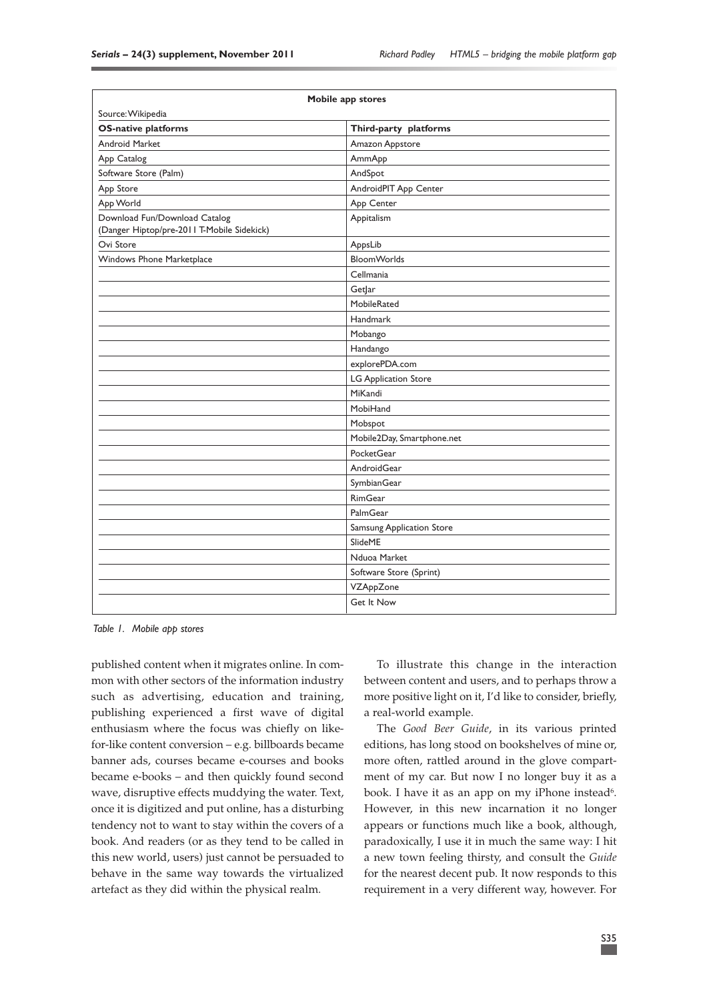| Mobile app stores                                                           |                                  |
|-----------------------------------------------------------------------------|----------------------------------|
| Source: Wikipedia                                                           |                                  |
| <b>OS-native platforms</b>                                                  | Third-party platforms            |
| <b>Android Market</b>                                                       | Amazon Appstore                  |
| App Catalog                                                                 | AmmApp                           |
| Software Store (Palm)                                                       | AndSpot                          |
| App Store                                                                   | AndroidPIT App Center            |
| App World                                                                   | App Center                       |
| Download Fun/Download Catalog<br>(Danger Hiptop/pre-2011 T-Mobile Sidekick) | Appitalism                       |
| Ovi Store                                                                   | AppsLib                          |
| Windows Phone Marketplace                                                   | <b>BloomWorlds</b>               |
|                                                                             | Cellmania                        |
|                                                                             | Get ar                           |
|                                                                             | MobileRated                      |
|                                                                             | <b>Handmark</b>                  |
|                                                                             | Mobango                          |
|                                                                             | Handango                         |
|                                                                             | explorePDA.com                   |
|                                                                             | <b>LG Application Store</b>      |
|                                                                             | MiKandi                          |
|                                                                             | MobiHand                         |
|                                                                             | Mobspot                          |
|                                                                             | Mobile2Day, Smartphone.net       |
|                                                                             | <b>PocketGear</b>                |
|                                                                             | AndroidGear                      |
|                                                                             | SymbianGear                      |
|                                                                             | <b>RimGear</b>                   |
|                                                                             | PalmGear                         |
|                                                                             | <b>Samsung Application Store</b> |
|                                                                             | SlideME                          |
|                                                                             | Nduoa Market                     |
|                                                                             | Software Store (Sprint)          |
|                                                                             | VZAppZone                        |
|                                                                             | Get It Now                       |

*Table 1. Mobile app stores*

published content when it migrates online. In common with other sectors of the information industry such as advertising, education and training, publishing experienced a first wave of digital enthusiasm where the focus was chiefly on likefor-like content conversion – e.g. billboards became banner ads, courses became e-courses and books became e-books – and then quickly found second wave, disruptive effects muddying the water. Text, once it is digitized and put online, has a disturbing tendency not to want to stay within the covers of a book. And readers (or as they tend to be called in this new world, users) just cannot be persuaded to behave in the same way towards the virtualized artefact as they did within the physical realm.

To illustrate this change in the interaction between content and users, and to perhaps throw a more positive light on it, I'd like to consider, briefly, a real-world example.

The *Good Beer Guide*, in its various printed editions, has long stood on bookshelves of mine or, more often, rattled around in the glove compartment of my car. But now I no longer buy it as a book. I have it as an app on my iPhone instead $6$ . However, in this new incarnation it no longer appears or functions much like a book, although, paradoxically, I use it in much the same way: I hit a new town feeling thirsty, and consult the *Guide* for the nearest decent pub. It now responds to this requirement in a very different way, however. For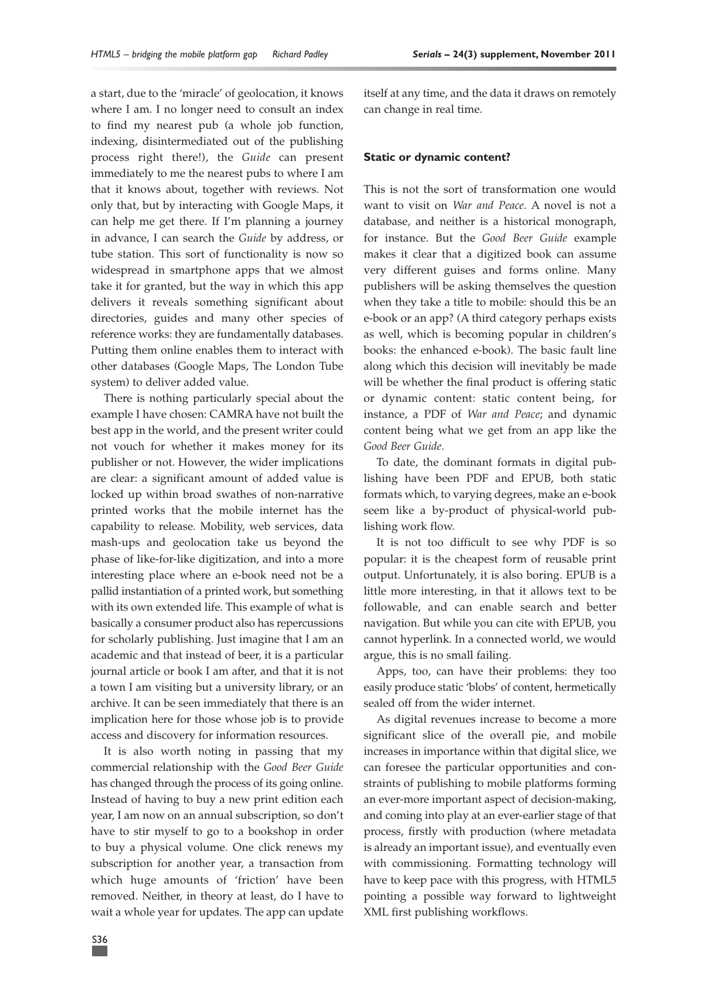a start, due to the 'miracle' of geolocation, it knows where I am. I no longer need to consult an index to find my nearest pub (a whole job function, indexing, disintermediated out of the publishing process right there!), the *Guide* can present immediately to me the nearest pubs to where I am that it knows about, together with reviews. Not only that, but by interacting with Google Maps, it can help me get there. If I'm planning a journey in advance, I can search the *Guide* by address, or tube station. This sort of functionality is now so widespread in smartphone apps that we almost take it for granted, but the way in which this app delivers it reveals something significant about directories, guides and many other species of reference works: they are fundamentally databases. Putting them online enables them to interact with other databases (Google Maps, The London Tube system) to deliver added value.

There is nothing particularly special about the example I have chosen: CAMRA have not built the best app in the world, and the present writer could not vouch for whether it makes money for its publisher or not. However, the wider implications are clear: a significant amount of added value is locked up within broad swathes of non-narrative printed works that the mobile internet has the capability to release. Mobility, web services, data mash-ups and geolocation take us beyond the phase of like-for-like digitization, and into a more interesting place where an e-book need not be a pallid instantiation of a printed work, but something with its own extended life. This example of what is basically a consumer product also has repercussions for scholarly publishing. Just imagine that I am an academic and that instead of beer, it is a particular journal article or book I am after, and that it is not a town I am visiting but a university library, or an archive. It can be seen immediately that there is an implication here for those whose job is to provide access and discovery for information resources.

It is also worth noting in passing that my commercial relationship with the *Good Beer Guide* has changed through the process of its going online. Instead of having to buy a new print edition each year, I am now on an annual subscription, so don't have to stir myself to go to a bookshop in order to buy a physical volume. One click renews my subscription for another year, a transaction from which huge amounts of 'friction' have been removed. Neither, in theory at least, do I have to wait a whole year for updates. The app can update

itself at any time, and the data it draws on remotely can change in real time.

#### **Static or dynamic content?**

This is not the sort of transformation one would want to visit on *War and Peace*. A novel is not a database, and neither is a historical monograph, for instance. But the *Good Beer Guide* example makes it clear that a digitized book can assume very different guises and forms online. Many publishers will be asking themselves the question when they take a title to mobile: should this be an e-book or an app? (A third category perhaps exists as well, which is becoming popular in children's books: the enhanced e-book). The basic fault line along which this decision will inevitably be made will be whether the final product is offering static or dynamic content: static content being, for instance, a PDF of *War and Peace*; and dynamic content being what we get from an app like the *Good Beer Guide.* 

To date, the dominant formats in digital publishing have been PDF and EPUB, both static formats which, to varying degrees, make an e-book seem like a by-product of physical-world publishing work flow.

It is not too difficult to see why PDF is so popular: it is the cheapest form of reusable print output. Unfortunately, it is also boring. EPUB is a little more interesting, in that it allows text to be followable, and can enable search and better navigation. But while you can cite with EPUB, you cannot hyperlink. In a connected world, we would argue, this is no small failing.

Apps, too, can have their problems: they too easily produce static 'blobs' of content, hermetically sealed off from the wider internet.

As digital revenues increase to become a more significant slice of the overall pie, and mobile increases in importance within that digital slice, we can foresee the particular opportunities and constraints of publishing to mobile platforms forming an ever-more important aspect of decision-making, and coming into play at an ever-earlier stage of that process, firstly with production (where metadata is already an important issue), and eventually even with commissioning. Formatting technology will have to keep pace with this progress, with HTML5 pointing a possible way forward to lightweight XML first publishing workflows.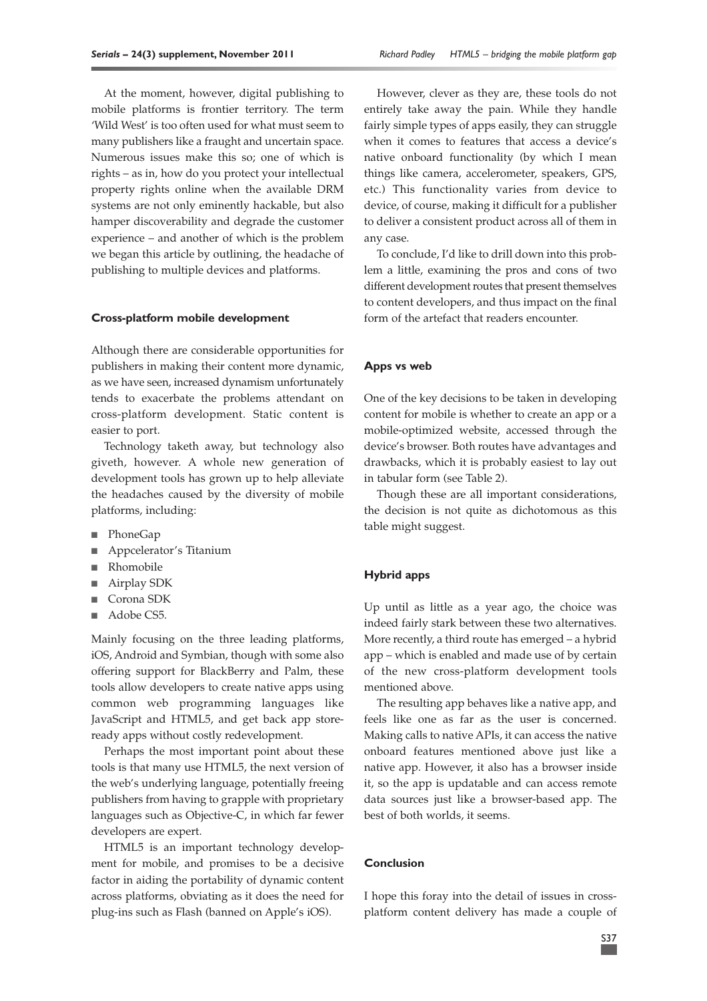At the moment, however, digital publishing to mobile platforms is frontier territory. The term 'Wild West' is too often used for what must seem to many publishers like a fraught and uncertain space. Numerous issues make this so; one of which is rights – as in, how do you protect your intellectual property rights online when the available DRM systems are not only eminently hackable, but also hamper discoverability and degrade the customer experience – and another of which is the problem we began this article by outlining, the headache of publishing to multiple devices and platforms.

#### **Cross-platform mobile development**

Although there are considerable opportunities for publishers in making their content more dynamic, as we have seen, increased dynamism unfortunately tends to exacerbate the problems attendant on cross-platform development. Static content is easier to port.

Technology taketh away, but technology also giveth, however. A whole new generation of development tools has grown up to help alleviate the headaches caused by the diversity of mobile platforms, including:

- PhoneGap
- Appcelerator's Titanium
- Rhomobile
- Airplay SDK
- Corona SDK
- Adobe CS5.

Mainly focusing on the three leading platforms, iOS, Android and Symbian, though with some also offering support for BlackBerry and Palm, these tools allow developers to create native apps using common web programming languages like JavaScript and HTML5, and get back app storeready apps without costly redevelopment.

Perhaps the most important point about these tools is that many use HTML5, the next version of the web's underlying language, potentially freeing publishers from having to grapple with proprietary languages such as Objective-C, in which far fewer developers are expert.

HTML5 is an important technology development for mobile, and promises to be a decisive factor in aiding the portability of dynamic content across platforms, obviating as it does the need for plug-ins such as Flash (banned on Apple's iOS).

However, clever as they are, these tools do not entirely take away the pain. While they handle fairly simple types of apps easily, they can struggle when it comes to features that access a device's native onboard functionality (by which I mean things like camera, accelerometer, speakers, GPS, etc.) This functionality varies from device to device, of course, making it difficult for a publisher to deliver a consistent product across all of them in any case.

To conclude, I'd like to drill down into this problem a little, examining the pros and cons of two different development routes that present themselves to content developers, and thus impact on the final form of the artefact that readers encounter.

#### **Apps vs web**

One of the key decisions to be taken in developing content for mobile is whether to create an app or a mobile-optimized website, accessed through the device's browser. Both routes have advantages and drawbacks, which it is probably easiest to lay out in tabular form (see Table 2).

Though these are all important considerations, the decision is not quite as dichotomous as this table might suggest.

### **Hybrid apps**

Up until as little as a year ago, the choice was indeed fairly stark between these two alternatives. More recently, a third route has emerged – a hybrid app – which is enabled and made use of by certain of the new cross-platform development tools mentioned above.

The resulting app behaves like a native app, and feels like one as far as the user is concerned. Making calls to native APIs, it can access the native onboard features mentioned above just like a native app. However, it also has a browser inside it, so the app is updatable and can access remote data sources just like a browser-based app. The best of both worlds, it seems.

#### **Conclusion**

I hope this foray into the detail of issues in crossplatform content delivery has made a couple of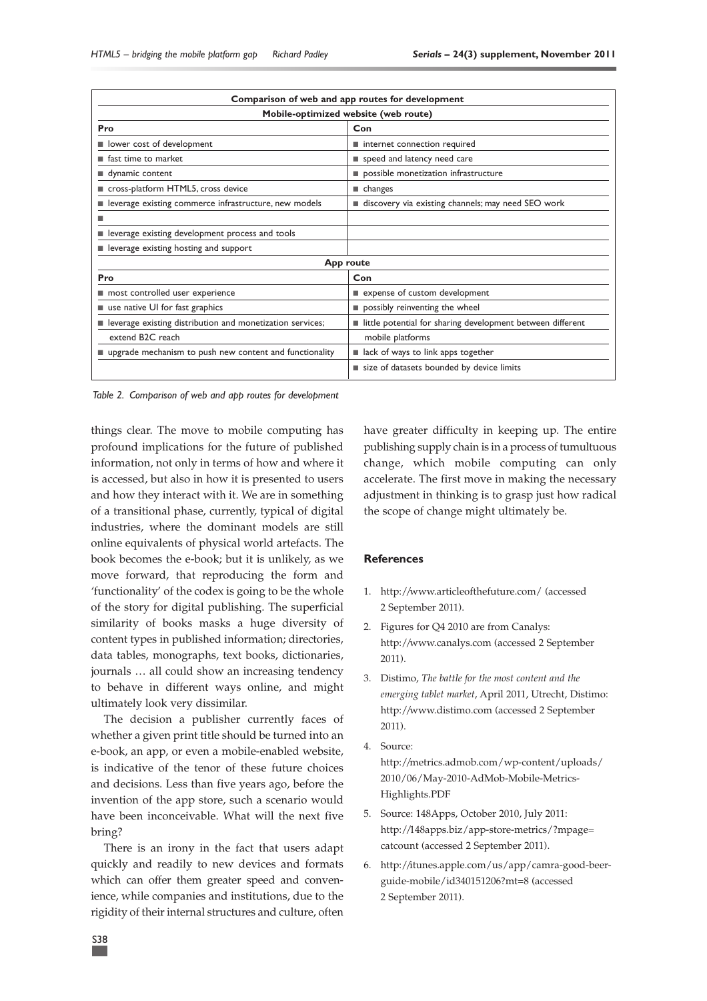| Comparison of web and app routes for development            |                                                               |
|-------------------------------------------------------------|---------------------------------------------------------------|
| Mobile-optimized website (web route)                        |                                                               |
| Pro                                                         | Con                                                           |
| lower cost of development                                   | internet connection required                                  |
| fast time to market                                         | speed and latency need care                                   |
| dynamic content                                             | possible monetization infrastructure                          |
| cross-platform HTML5, cross device                          | changes                                                       |
| leverage existing commerce infrastructure, new models       | discovery via existing channels; may need SEO work            |
|                                                             |                                                               |
| leverage existing development process and tools             |                                                               |
| leverage existing hosting and support                       |                                                               |
| App route                                                   |                                                               |
| Pro                                                         | Con                                                           |
| most controlled user experience                             | expense of custom development                                 |
| use native UI for fast graphics                             | possibly reinventing the wheel                                |
| leverage existing distribution and monetization services;   | In little potential for sharing development between different |
| extend B2C reach                                            | mobile platforms                                              |
| que upgrade mechanism to push new content and functionality | lack of ways to link apps together                            |
|                                                             | size of datasets bounded by device limits                     |

*Table 2. Comparison of web and app routes for development*

things clear. The move to mobile computing has profound implications for the future of published information, not only in terms of how and where it is accessed, but also in how it is presented to users and how they interact with it. We are in something of a transitional phase, currently, typical of digital industries, where the dominant models are still online equivalents of physical world artefacts. The book becomes the e-book; but it is unlikely, as we move forward, that reproducing the form and 'functionality' of the codex is going to be the whole of the story for digital publishing. The superficial similarity of books masks a huge diversity of content types in published information; directories, data tables, monographs, text books, dictionaries, journals … all could show an increasing tendency to behave in different ways online, and might ultimately look very dissimilar.

The decision a publisher currently faces of whether a given print title should be turned into an e-book, an app, or even a mobile-enabled website, is indicative of the tenor of these future choices and decisions. Less than five years ago, before the invention of the app store, such a scenario would have been inconceivable. What will the next five bring?

There is an irony in the fact that users adapt quickly and readily to new devices and formats which can offer them greater speed and convenience, while companies and institutions, due to the rigidity of their internal structures and culture, often have greater difficulty in keeping up. The entire publishing supply chain is in a process of tumultuous change, which mobile computing can only accelerate. The first move in making the necessary adjustment in thinking is to grasp just how radical the scope of change might ultimately be.

## **References**

- 1. http://www.articleofthefuture.com/ (accessed 2 September 2011).
- 2. Figures for Q4 2010 are from Canalys: http://www.canalys.com (accessed 2 September 2011).
- 3. Distimo, *The battle for the most content and the emerging tablet market*, April 2011, Utrecht, Distimo: http://www.distimo.com (accessed 2 September 2011).
- 4. Source: [http://metrics.admob.com/wp-content/uploads/](http://metrics.admob.com/wp-content/uploads/2010/06/May-2010-AdMob-Mobile-Metrics-Highlights.PDF) 2010/06/May-2010-AdMob-Mobile-Metrics-Highlights.PDF
- 5. Source: 148Apps, October 2010, July 2011: [http://148apps.biz/app-store-metrics/?mpage=](http://148apps.biz/app-store-metrics/?mpage=catcount) catcount (accessed 2 September 2011).
- 6. [http://itunes.apple.com/us/app/camra-good-beer](http://itunes.apple.com/us/app/camra-good-beer-guide-mobile/id340151206?mt=8)guide-mobile/id340151206?mt=8 (accessed 2 September 2011).